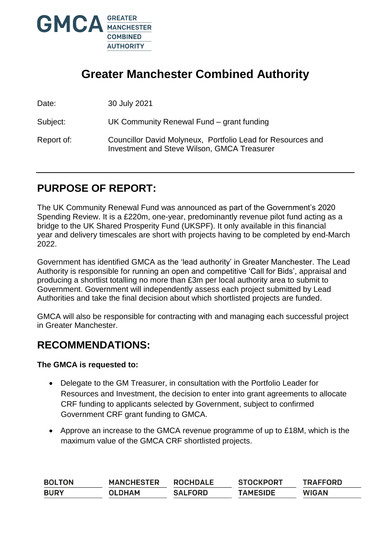

# **Greater Manchester Combined Authority**

Date: 30 July 2021

Subject: UK Community Renewal Fund – grant funding

Report of: Councillor David Molyneux, Portfolio Lead for Resources and Investment and Steve Wilson, GMCA Treasurer

## **PURPOSE OF REPORT:**

The UK Community Renewal Fund was announced as part of the Government's 2020 Spending Review. It is a £220m, one-year, predominantly revenue pilot fund acting as a bridge to the UK Shared Prosperity Fund (UKSPF). It only available in this financial year and delivery timescales are short with projects having to be completed by end-March 2022.

Government has identified GMCA as the 'lead authority' in Greater Manchester. The Lead Authority is responsible for running an open and competitive 'Call for Bids', appraisal and producing a shortlist totalling no more than £3m per local authority area to submit to Government. Government will independently assess each project submitted by Lead Authorities and take the final decision about which shortlisted projects are funded.

GMCA will also be responsible for contracting with and managing each successful project in Greater Manchester.

### **RECOMMENDATIONS:**

#### **The GMCA is requested to:**

- Delegate to the GM Treasurer, in consultation with the Portfolio Leader for Resources and Investment, the decision to enter into grant agreements to allocate CRF funding to applicants selected by Government, subject to confirmed Government CRF grant funding to GMCA.
- Approve an increase to the GMCA revenue programme of up to £18M, which is the maximum value of the GMCA CRF shortlisted projects.

| <b>BOLTON</b> | <b>MANCHESTER</b> | <b>ROCHDALE</b> | <b>STOCKPORT</b> | <b>TRAFFORD</b> |
|---------------|-------------------|-----------------|------------------|-----------------|
| <b>BURY</b>   | <b>OLDHAM</b>     | <b>SALFORD</b>  | <b>TAMESIDE</b>  | <b>WIGAN</b>    |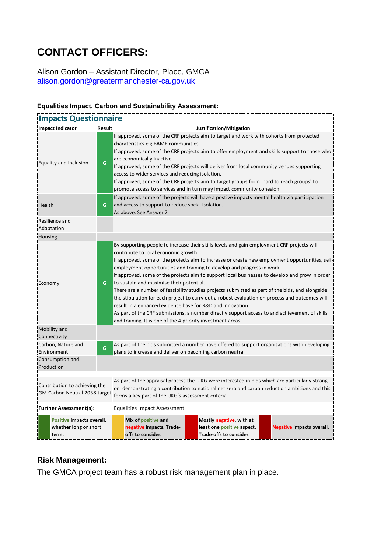# **CONTACT OFFICERS:**

Alison Gordon – Assistant Director, Place, GMCA [alison.gordon@greatermanchester-ca.gov.uk](mailto:alison.gordon@greatermanchester-ca.gov.uk)

#### **Impacts Questionnaire Impact Indicator Result Justification/Mitigation** Equality and Inclusion **G** If approved, some of the CRF projects aim to target and work with cohorts from protected charateristics e.g BAME communities. If approved, some of the CRF projects aim to offer employment and skills support to those who are economically inactive. If approved, some of the CRF projects will deliver from local community venues supporting access to wider services and reducing isolation. If approved, some of the CRF projects aim to target groups from 'hard to reach groups' to promote access to services and in turn may impact community cohesion. Health **G** If approved, some of the projects will have a postive impacts mental health via participation and access to support to reduce social isolation. As above. See Answer 2 Resilience and Adaptation **Housing** Economy **G** By supporting people to increase their skills levels and gain employment CRF projects will contribute to local economic growth If approved, some of the projects aim to increase or create new employment opportunities, selfemployment opportunities and training to develop and progress in work. If approved, some of the projects aim to support local businesses to develop and grow in order to sustain and maximise their potential. There are a number of feasibility studies projects submitted as part of the bids, and alongside the stipulation for each project to carry out a robust evaluation on process and outcomes will result in a enhanced evidence base for R&D and innovation. As part of the CRF submissions, a number directly support access to and achievement of skills and training. It is one of the 4 priority investment areas. Mobility and **Connectivity** Carbon, Nature and Environment **G** As part of the bids submitted a number have offered to support organisations with developing plans to increase and deliver on becoming carbon neutral Consumption and Production As part of the appraisal process the UKG were interested in bids which are particularly strong on demonstrating a contribution to national net zero and carbon reduction ambitions and this forms a key part of the UKG's assessment criteria. **Further Assessment(s):** Equalities Impact Assessment Contribution to achieving the GM Carbon Neutral 2038 target **Positive impacts overall, whether long or short term. Mix of positive and negative impacts. Tradeoffs to consider. Mostly negative, with at least one positive aspect. Trade-offs to consider. Negative impacts overall**.

#### **Equalities Impact, Carbon and Sustainability Assessment:**

#### **Risk Management:**

The GMCA project team has a robust risk management plan in place.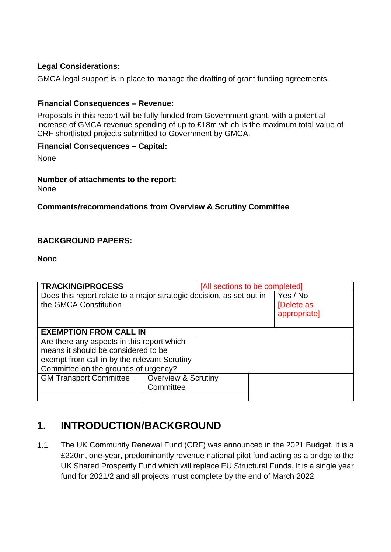### **Legal Considerations:**

GMCA legal support is in place to manage the drafting of grant funding agreements.

### **Financial Consequences – Revenue:**

Proposals in this report will be fully funded from Government grant, with a potential increase of GMCA revenue spending of up to £18m which is the maximum total value of CRF shortlisted projects submitted to Government by GMCA.

#### **Financial Consequences – Capital:**

None

#### **Number of attachments to the report:**

None

#### **Comments/recommendations from Overview & Scrutiny Committee**

#### **BACKGROUND PAPERS:**

#### **None**

| <b>TRACKING/PROCESS</b>                                              |                                | [All sections to be completed] |  |  |  |
|----------------------------------------------------------------------|--------------------------------|--------------------------------|--|--|--|
| Does this report relate to a major strategic decision, as set out in | Yes / No                       |                                |  |  |  |
| the GMCA Constitution                                                | [Delete as                     |                                |  |  |  |
|                                                                      |                                | appropriate]                   |  |  |  |
|                                                                      |                                |                                |  |  |  |
| <b>EXEMPTION FROM CALL IN</b>                                        |                                |                                |  |  |  |
| Are there any aspects in this report which                           |                                |                                |  |  |  |
| means it should be considered to be                                  |                                |                                |  |  |  |
| exempt from call in by the relevant Scrutiny                         |                                |                                |  |  |  |
| Committee on the grounds of urgency?                                 |                                |                                |  |  |  |
| <b>GM Transport Committee</b>                                        | <b>Overview &amp; Scrutiny</b> |                                |  |  |  |
|                                                                      | Committee                      |                                |  |  |  |
|                                                                      |                                |                                |  |  |  |

### **1. INTRODUCTION/BACKGROUND**

1.1 The UK Community Renewal Fund (CRF) was announced in the 2021 Budget. It is a £220m, one-year, predominantly revenue national pilot fund acting as a bridge to the UK Shared Prosperity Fund which will replace EU Structural Funds. It is a single year fund for 2021/2 and all projects must complete by the end of March 2022.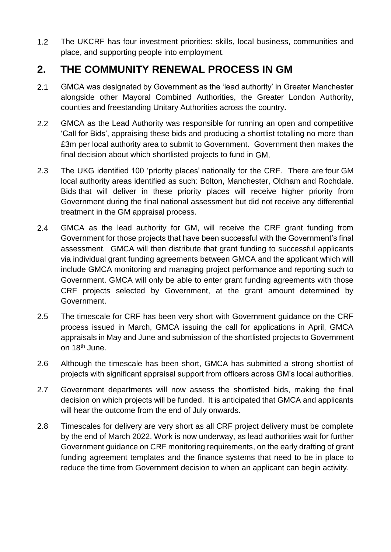1.2 The UKCRF has four investment priorities: skills, local business, communities and place, and supporting people into employment.

### **2. THE COMMUNITY RENEWAL PROCESS IN GM**

- 2.1 GMCA was designated by Government as the 'lead authority' in Greater Manchester alongside other Mayoral Combined Authorities, the Greater London Authority, counties and freestanding Unitary Authorities across the country**.**
- 2.2 GMCA as the Lead Authority was responsible for running an open and competitive 'Call for Bids', appraising these bids and producing a shortlist totalling no more than £3m per local authority area to submit to Government. Government then makes the final decision about which shortlisted projects to fund in GM.
- 2.3 The UKG identified 100 'priority places' nationally for the CRF. There are four GM local authority areas identified as such: Bolton, Manchester, Oldham and Rochdale. Bids that will deliver in these priority places will receive higher priority from Government during the final national assessment but did not receive any differential treatment in the GM appraisal process.
- 2.4 GMCA as the lead authority for GM, will receive the CRF grant funding from Government for those projects that have been successful with the Government's final assessment. GMCA will then distribute that grant funding to successful applicants via individual grant funding agreements between GMCA and the applicant which will include GMCA monitoring and managing project performance and reporting such to Government. GMCA will only be able to enter grant funding agreements with those CRF projects selected by Government, at the grant amount determined by Government.
- 2.5 The timescale for CRF has been very short with Government guidance on the CRF process issued in March, GMCA issuing the call for applications in April, GMCA appraisals in May and June and submission of the shortlisted projects to Government on 18<sup>th</sup> June.
- 2.6 Although the timescale has been short, GMCA has submitted a strong shortlist of projects with significant appraisal support from officers across GM's local authorities.
- 2.7 Government departments will now assess the shortlisted bids, making the final decision on which projects will be funded. It is anticipated that GMCA and applicants will hear the outcome from the end of July onwards.
- 2.8 Timescales for delivery are very short as all CRF project delivery must be complete by the end of March 2022. Work is now underway, as lead authorities wait for further Government guidance on CRF monitoring requirements, on the early drafting of grant funding agreement templates and the finance systems that need to be in place to reduce the time from Government decision to when an applicant can begin activity.